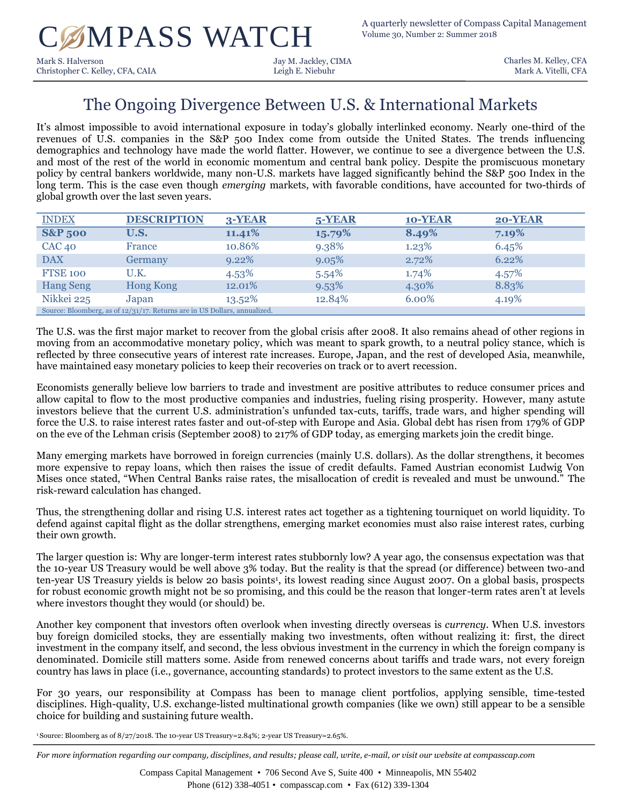# C MPASS WATCH A quarterly newsletter of Compass Capital Management

Mark S. Halverson Jay M. Jackley, CIMA Christopher C. Kelley, CFA, CAIA Leigh E. Niebuhr

Charles M. Kelley, CFA Mark A. Vitelli, CFA

## The Ongoing Divergence Between U.S. & International Markets

It's almost impossible to avoid international exposure in today's globally interlinked economy. Nearly one-third of the revenues of U.S. companies in the S&P 500 Index come from outside the United States. The trends influencing demographics and technology have made the world flatter. However, we continue to see a divergence between the U.S. and most of the rest of the world in economic momentum and central bank policy. Despite the promiscuous monetary policy by central bankers worldwide, many non-U.S. markets have lagged significantly behind the S&P 500 Index in the long term. This is the case even though *emerging* markets, with favorable conditions, have accounted for two-thirds of global growth over the last seven years.

| <b>INDEX</b>                                                              | <b>DESCRIPTION</b> | 3-YEAR   | $5$ -YEAR | 10-YEAR  | 20-YEAR |
|---------------------------------------------------------------------------|--------------------|----------|-----------|----------|---------|
| <b>S&amp;P 500</b>                                                        | U.S.               | 11.41%   | 15.79%    | 8.49%    | 7.19%   |
| $CAC$ 40                                                                  | France             | 10.86%   | 9.38%     | 1.23%    | 6.45%   |
| <b>DAX</b>                                                                | Germany            | 9.22%    | 9.05%     | 2.72%    | 6.22%   |
| <b>FTSE 100</b>                                                           | U.K.               | $4.53\%$ | $5.54\%$  | $1.74\%$ | 4.57%   |
| <b>Hang Seng</b>                                                          | <b>Hong Kong</b>   | 12.01%   | 9.53%     | 4.30%    | 8.83%   |
| Nikkei 225                                                                | Japan              | 13.52%   | 12.84%    | 6.00%    | 4.19%   |
| Source: Bloomberg, as of 12/31/17. Returns are in US Dollars, annualized. |                    |          |           |          |         |

The U.S. was the first major market to recover from the global crisis after 2008. It also remains ahead of other regions in moving from an accommodative monetary policy, which was meant to spark growth, to a neutral policy stance, which is reflected by three consecutive years of interest rate increases. Europe, Japan, and the rest of developed Asia, meanwhile, have maintained easy monetary policies to keep their recoveries on track or to avert recession.

Economists generally believe low barriers to trade and investment are positive attributes to reduce consumer prices and allow capital to flow to the most productive companies and industries, fueling rising prosperity. However, many astute investors believe that the current U.S. administration's unfunded tax-cuts, tariffs, trade wars, and higher spending will force the U.S. to raise interest rates faster and out-of-step with Europe and Asia. Global debt has risen from 179% of GDP on the eve of the Lehman crisis (September 2008) to 217% of GDP today, as emerging markets join the credit binge.

Many emerging markets have borrowed in foreign currencies (mainly U.S. dollars). As the dollar strengthens, it becomes more expensive to repay loans, which then raises the issue of credit defaults. Famed Austrian economist Ludwig Von Mises once stated, "When Central Banks raise rates, the misallocation of credit is revealed and must be unwound." The risk-reward calculation has changed.

Thus, the strengthening dollar and rising U.S. interest rates act together as a tightening tourniquet on world liquidity. To defend against capital flight as the dollar strengthens, emerging market economies must also raise interest rates, curbing their own growth.

The larger question is: Why are longer-term interest rates stubbornly low? A year ago, the consensus expectation was that the 10-year US Treasury would be well above 3% today. But the reality is that the spread (or difference) between two-and ten-year US Treasury yields is below 20 basis points<sup>1</sup>, its lowest reading since August 2007. On a global basis, prospects for robust economic growth might not be so promising, and this could be the reason that longer-term rates aren't at levels where investors thought they would (or should) be.

Another key component that investors often overlook when investing directly overseas is *currency*. When U.S. investors buy foreign domiciled stocks, they are essentially making two investments, often without realizing it: first, the direct investment in the company itself, and second, the less obvious investment in the currency in which the foreign company is denominated. Domicile still matters some. Aside from renewed concerns about tariffs and trade wars, not every foreign country has laws in place (i.e., governance, accounting standards) to protect investors to the same extent as the U.S.

For 30 years, our responsibility at Compass has been to manage client portfolios, applying sensible, time-tested disciplines. High-quality, U.S. exchange-listed multinational growth companies (like we own) still appear to be a sensible choice for building and sustaining future wealth.

<sup>1</sup> Source: Bloomberg as of  $8/27/2018$ . The 10-year US Treasury=2.84%; 2-year US Treasury=2.65%.

*For more information regarding our company, disciplines, and results; please call, write, e-mail, or visit our website at compasscap.com*

Compass Capital Management • 706 Second Ave S, Suite 400 • Minneapolis, MN 55402 Phone (612) 338-4051 • compasscap.com • Fax (612) 339-1304